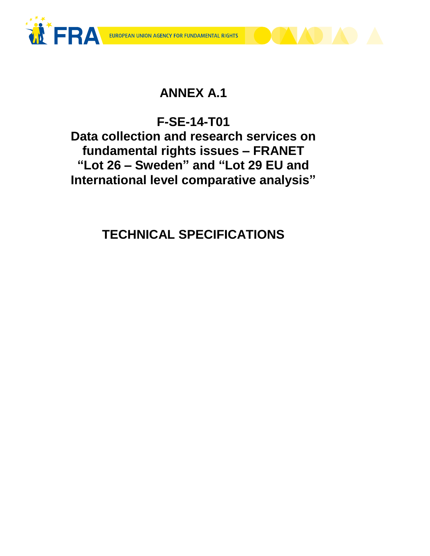



# **ANNEX A.1**

# **F-SE-14-T01**

**Data collection and research services on fundamental rights issues – FRANET "Lot 26 – Sweden" and "Lot 29 EU and International level comparative analysis"**

**TECHNICAL SPECIFICATIONS**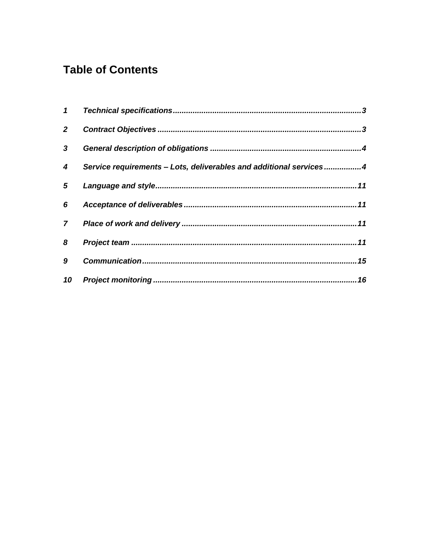# **Table of Contents**

|   | 4 Service requirements - Lots, deliverables and additional services4 |
|---|----------------------------------------------------------------------|
|   |                                                                      |
|   |                                                                      |
|   |                                                                      |
|   |                                                                      |
| 9 |                                                                      |
|   |                                                                      |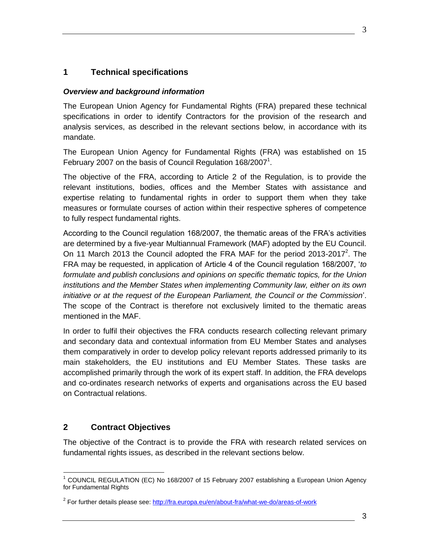### <span id="page-2-0"></span>**1 Technical specifications**

#### *Overview and background information*

The European Union Agency for Fundamental Rights (FRA) prepared these technical specifications in order to identify Contractors for the provision of the research and analysis services, as described in the relevant sections below, in accordance with its mandate.

The European Union Agency for Fundamental Rights (FRA) was established on 15 February 2007 on the basis of Council Regulation 168/2007<sup>1</sup>.

The objective of the FRA, according to Article 2 of the Regulation, is to provide the relevant institutions, bodies, offices and the Member States with assistance and expertise relating to fundamental rights in order to support them when they take measures or formulate courses of action within their respective spheres of competence to fully respect fundamental rights.

According to the Council regulation 168/2007, the thematic areas of the FRA's activities are determined by a five-year Multiannual Framework (MAF) adopted by the EU Council. On 11 March 2013 the Council adopted the FRA MAF for the period 2013-2017<sup>2</sup>. The FRA may be requested, in application of Article 4 of the Council regulation 168/2007, '*to formulate and publish conclusions and opinions on specific thematic topics, for the Union institutions and the Member States when implementing Community law, either on its own initiative or at the request of the European Parliament, the Council or the Commission*'. The scope of the Contract is therefore not exclusively limited to the thematic areas mentioned in the MAF.

In order to fulfil their objectives the FRA conducts research collecting relevant primary and secondary data and contextual information from EU Member States and analyses them comparatively in order to develop policy relevant reports addressed primarily to its main stakeholders, the EU institutions and EU Member States. These tasks are accomplished primarily through the work of its expert staff. In addition, the FRA develops and co-ordinates research networks of experts and organisations across the EU based on Contractual relations.

# <span id="page-2-1"></span>**2 Contract Objectives**

The objective of the Contract is to provide the FRA with research related services on fundamental rights issues, as described in the relevant sections below.

 $\overline{a}$  $1$  COUNCIL REGULATION (EC) No 168/2007 of 15 February 2007 establishing a European Union Agency for Fundamental Rights

<sup>&</sup>lt;sup>2</sup> For further details please see:<http://fra.europa.eu/en/about-fra/what-we-do/areas-of-work>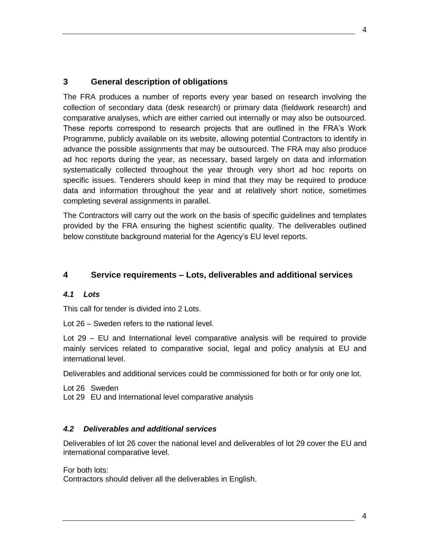### <span id="page-3-0"></span>**3 General description of obligations**

The FRA produces a number of reports every year based on research involving the collection of secondary data (desk research) or primary data (fieldwork research) and comparative analyses, which are either carried out internally or may also be outsourced. These reports correspond to research projects that are outlined in the FRA's Work Programme, publicly available on its website, allowing potential Contractors to identify in advance the possible assignments that may be outsourced. The FRA may also produce ad hoc reports during the year, as necessary, based largely on data and information systematically collected throughout the year through very short ad hoc reports on specific issues. Tenderers should keep in mind that they may be required to produce data and information throughout the year and at relatively short notice, sometimes completing several assignments in parallel.

The Contractors will carry out the work on the basis of specific guidelines and templates provided by the FRA ensuring the highest scientific quality. The deliverables outlined below constitute background material for the Agency's EU level reports.

#### <span id="page-3-1"></span>**4 Service requirements – Lots, deliverables and additional services**

#### *4.1 Lots*

This call for tender is divided into 2 Lots.

Lot 26 – Sweden refers to the national level.

Lot 29 – EU and International level comparative analysis will be required to provide mainly services related to comparative social, legal and policy analysis at EU and international level.

Deliverables and additional services could be commissioned for both or for only one lot.

Lot 26 Sweden

Lot 29 EU and International level comparative analysis

#### *4.2 Deliverables and additional services*

Deliverables of lot 26 cover the national level and deliverables of lot 29 cover the EU and international comparative level.

For both lots:

Contractors should deliver all the deliverables in English.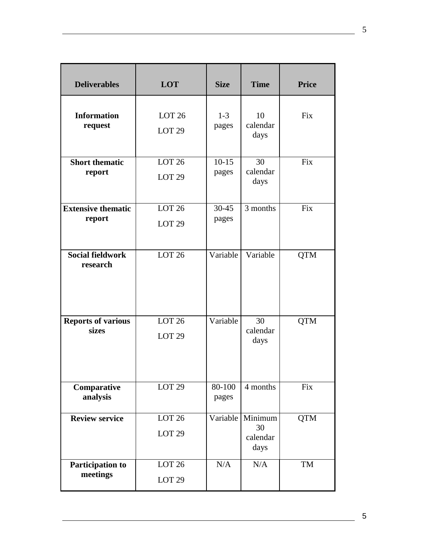| <b>Deliverables</b>                 | <b>LOT</b>                             | <b>Size</b>        | <b>Time</b>                       | <b>Price</b> |
|-------------------------------------|----------------------------------------|--------------------|-----------------------------------|--------------|
| <b>Information</b><br>request       | LOT <sub>26</sub><br>LOT <sub>29</sub> | $1 - 3$<br>pages   | 10<br>calendar<br>days            | <b>Fix</b>   |
| <b>Short thematic</b><br>report     | <b>LOT 26</b><br>LOT <sub>29</sub>     | $10-15$<br>pages   | 30<br>calendar<br>days            | Fix          |
| <b>Extensive thematic</b><br>report | LOT <sub>26</sub><br>LOT <sub>29</sub> | $30 - 45$<br>pages | 3 months                          | Fix          |
| <b>Social fieldwork</b><br>research | LOT <sub>26</sub>                      | Variable           | Variable                          | <b>QTM</b>   |
| <b>Reports of various</b><br>sizes  | LOT <sub>26</sub><br>LOT <sub>29</sub> | Variable           | 30<br>calendar<br>days            | <b>QTM</b>   |
| Comparative<br>analysis             | LOT <sub>29</sub>                      | 80-100<br>pages    | 4 months                          | Fix          |
| <b>Review service</b>               | LOT <sub>26</sub><br>LOT <sub>29</sub> | Variable           | Minimum<br>30<br>calendar<br>days | <b>QTM</b>   |
| Participation to<br>meetings        | <b>LOT 26</b><br>LOT <sub>29</sub>     | N/A                | N/A                               | TM           |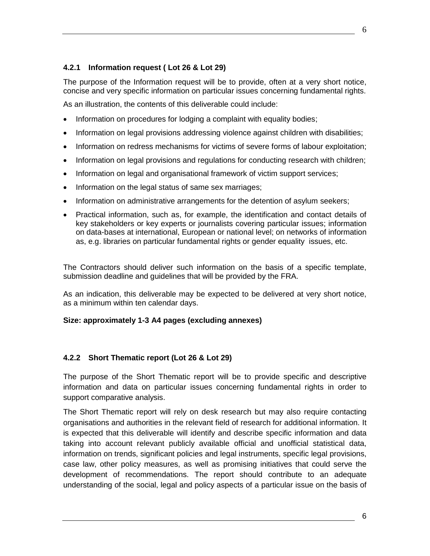The purpose of the Information request will be to provide, often at a very short notice, concise and very specific information on particular issues concerning fundamental rights.

As an illustration, the contents of this deliverable could include:

- Information on procedures for lodging a complaint with equality bodies;
- Information on legal provisions addressing violence against children with disabilities;
- Information on redress mechanisms for victims of severe forms of labour exploitation;
- Information on legal provisions and regulations for conducting research with children;
- Information on legal and organisational framework of victim support services;
- Information on the legal status of same sex marriages;
- Information on administrative arrangements for the detention of asylum seekers;
- Practical information, such as, for example, the identification and contact details of key stakeholders or key experts or journalists covering particular issues; information on data-bases at international, European or national level; on networks of information as, e.g. libraries on particular fundamental rights or gender equality issues, etc.

The Contractors should deliver such information on the basis of a specific template, submission deadline and guidelines that will be provided by the FRA.

As an indication, this deliverable may be expected to be delivered at very short notice, as a minimum within ten calendar days.

#### **Size: approximately 1-3 A4 pages (excluding annexes)**

### **4.2.2 Short Thematic report (Lot 26 & Lot 29)**

The purpose of the Short Thematic report will be to provide specific and descriptive information and data on particular issues concerning fundamental rights in order to support comparative analysis.

The Short Thematic report will rely on desk research but may also require contacting organisations and authorities in the relevant field of research for additional information. It is expected that this deliverable will identify and describe specific information and data taking into account relevant publicly available official and unofficial statistical data, information on trends, significant policies and legal instruments, specific legal provisions, case law, other policy measures, as well as promising initiatives that could serve the development of recommendations. The report should contribute to an adequate understanding of the social, legal and policy aspects of a particular issue on the basis of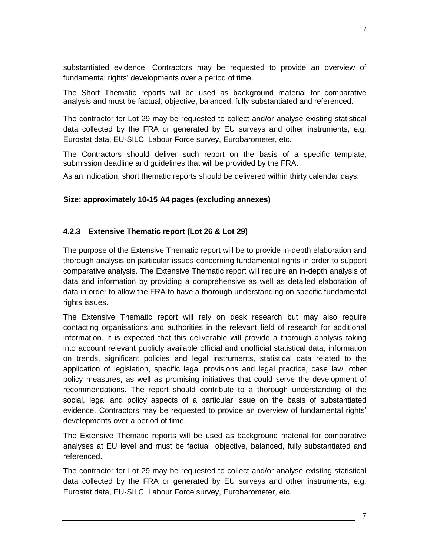substantiated evidence. Contractors may be requested to provide an overview of fundamental rights' developments over a period of time.

The Short Thematic reports will be used as background material for comparative analysis and must be factual, objective, balanced, fully substantiated and referenced.

The contractor for Lot 29 may be requested to collect and/or analyse existing statistical data collected by the FRA or generated by EU surveys and other instruments, e.g. Eurostat data, EU-SILC, Labour Force survey, Eurobarometer, etc.

The Contractors should deliver such report on the basis of a specific template, submission deadline and guidelines that will be provided by the FRA.

As an indication, short thematic reports should be delivered within thirty calendar days.

#### **Size: approximately 10-15 A4 pages (excluding annexes)**

#### **4.2.3 Extensive Thematic report (Lot 26 & Lot 29)**

The purpose of the Extensive Thematic report will be to provide in-depth elaboration and thorough analysis on particular issues concerning fundamental rights in order to support comparative analysis. The Extensive Thematic report will require an in-depth analysis of data and information by providing a comprehensive as well as detailed elaboration of data in order to allow the FRA to have a thorough understanding on specific fundamental rights issues.

The Extensive Thematic report will rely on desk research but may also require contacting organisations and authorities in the relevant field of research for additional information. It is expected that this deliverable will provide a thorough analysis taking into account relevant publicly available official and unofficial statistical data, information on trends, significant policies and legal instruments, statistical data related to the application of legislation, specific legal provisions and legal practice, case law, other policy measures, as well as promising initiatives that could serve the development of recommendations. The report should contribute to a thorough understanding of the social, legal and policy aspects of a particular issue on the basis of substantiated evidence. Contractors may be requested to provide an overview of fundamental rights' developments over a period of time.

The Extensive Thematic reports will be used as background material for comparative analyses at EU level and must be factual, objective, balanced, fully substantiated and referenced.

The contractor for Lot 29 may be requested to collect and/or analyse existing statistical data collected by the FRA or generated by EU surveys and other instruments, e.g. Eurostat data, EU-SILC, Labour Force survey, Eurobarometer, etc.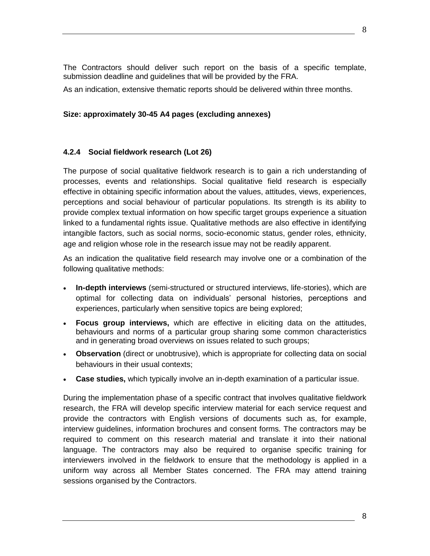The Contractors should deliver such report on the basis of a specific template, submission deadline and guidelines that will be provided by the FRA.

As an indication, extensive thematic reports should be delivered within three months.

#### **Size: approximately 30-45 A4 pages (excluding annexes)**

#### **4.2.4 Social fieldwork research (Lot 26)**

The purpose of social qualitative fieldwork research is to gain a rich understanding of processes, events and relationships. Social qualitative field research is especially effective in obtaining specific information about the values, attitudes, views, experiences, perceptions and social behaviour of particular populations. Its strength is its ability to provide complex textual information on how specific target groups experience a situation linked to a fundamental rights issue. Qualitative methods are also effective in identifying intangible factors, such as social norms, socio-economic status, gender roles, ethnicity, age and religion whose role in the research issue may not be readily apparent.

As an indication the qualitative field research may involve one or a combination of the following qualitative methods:

- **In-depth interviews** (semi-structured or structured interviews, life-stories), which are optimal for collecting data on individuals' personal histories, perceptions and experiences, particularly when sensitive topics are being explored;
- **Focus group interviews,** which are effective in eliciting data on the attitudes, behaviours and norms of a particular group sharing some common characteristics and in generating broad overviews on issues related to such groups;
- **Observation** (direct or unobtrusive), which is appropriate for collecting data on social behaviours in their usual contexts;
- **Case studies,** which typically involve an in-depth examination of a particular issue.

During the implementation phase of a specific contract that involves qualitative fieldwork research, the FRA will develop specific interview material for each service request and provide the contractors with English versions of documents such as, for example, interview guidelines, information brochures and consent forms. The contractors may be required to comment on this research material and translate it into their national language. The contractors may also be required to organise specific training for interviewers involved in the fieldwork to ensure that the methodology is applied in a uniform way across all Member States concerned. The FRA may attend training sessions organised by the Contractors.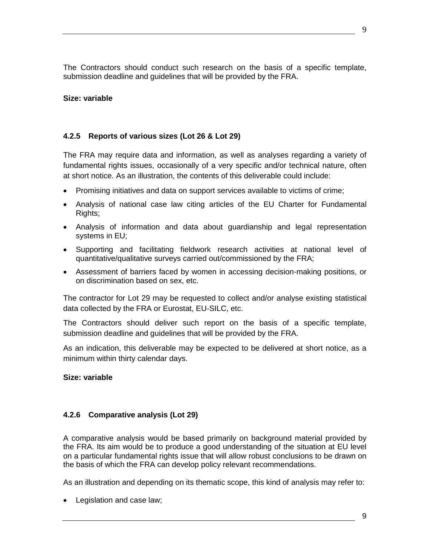The Contractors should conduct such research on the basis of a specific template, submission deadline and guidelines that will be provided by the FRA.

#### **Size: variable**

#### **4.2.5 Reports of various sizes (Lot 26 & Lot 29)**

The FRA may require data and information, as well as analyses regarding a variety of fundamental rights issues, occasionally of a very specific and/or technical nature, often at short notice. As an illustration, the contents of this deliverable could include:

- Promising initiatives and data on support services available to victims of crime;
- Analysis of national case law citing articles of the EU Charter for Fundamental Rights;
- Analysis of information and data about guardianship and legal representation systems in EU;
- Supporting and facilitating fieldwork research activities at national level of quantitative/qualitative surveys carried out/commissioned by the FRA;
- Assessment of barriers faced by women in accessing decision-making positions, or on discrimination based on sex, etc.

The contractor for Lot 29 may be requested to collect and/or analyse existing statistical data collected by the FRA or Eurostat, EU-SILC, etc.

The Contractors should deliver such report on the basis of a specific template, submission deadline and guidelines that will be provided by the FRA.

As an indication, this deliverable may be expected to be delivered at short notice, as a minimum within thirty calendar days.

#### **Size: variable**

#### **4.2.6 Comparative analysis (Lot 29)**

A comparative analysis would be based primarily on background material provided by the FRA. Its aim would be to produce a good understanding of the situation at EU level on a particular fundamental rights issue that will allow robust conclusions to be drawn on the basis of which the FRA can develop policy relevant recommendations.

As an illustration and depending on its thematic scope, this kind of analysis may refer to:

• Legislation and case law;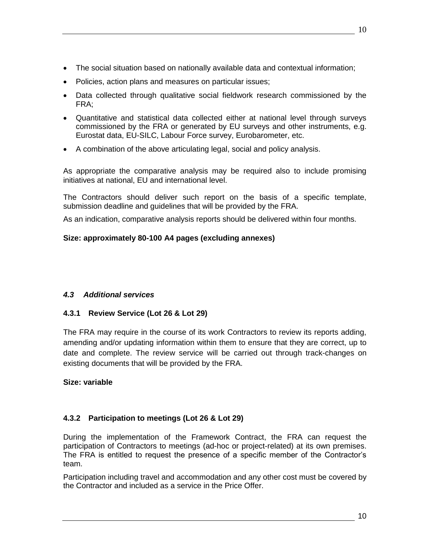- The social situation based on nationally available data and contextual information;
- Policies, action plans and measures on particular issues;
- Data collected through qualitative social fieldwork research commissioned by the FRA;
- Quantitative and statistical data collected either at national level through surveys commissioned by the FRA or generated by EU surveys and other instruments, e.g. Eurostat data, EU-SILC, Labour Force survey, Eurobarometer, etc.
- A combination of the above articulating legal, social and policy analysis.

As appropriate the comparative analysis may be required also to include promising initiatives at national, EU and international level.

The Contractors should deliver such report on the basis of a specific template, submission deadline and guidelines that will be provided by the FRA.

As an indication, comparative analysis reports should be delivered within four months.

# **Size: approximately 80-100 A4 pages (excluding annexes)**

### *4.3 Additional services*

### **4.3.1 Review Service (Lot 26 & Lot 29)**

The FRA may require in the course of its work Contractors to review its reports adding, amending and/or updating information within them to ensure that they are correct, up to date and complete. The review service will be carried out through track-changes on existing documents that will be provided by the FRA.

### **Size: variable**

# **4.3.2 Participation to meetings (Lot 26 & Lot 29)**

During the implementation of the Framework Contract, the FRA can request the participation of Contractors to meetings (ad-hoc or project-related) at its own premises. The FRA is entitled to request the presence of a specific member of the Contractor's team.

Participation including travel and accommodation and any other cost must be covered by the Contractor and included as a service in the Price Offer.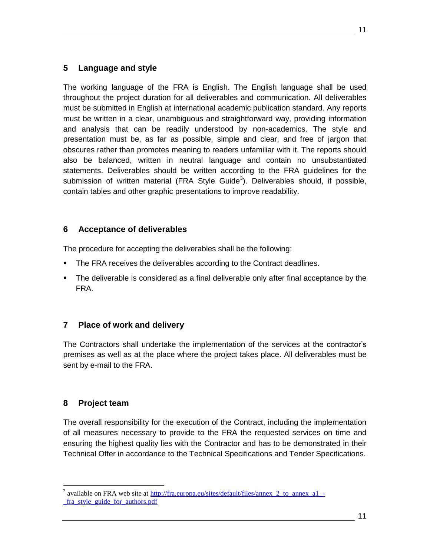### <span id="page-10-0"></span>**5 Language and style**

The working language of the FRA is English. The English language shall be used throughout the project duration for all deliverables and communication. All deliverables must be submitted in English at international academic publication standard. Any reports must be written in a clear, unambiguous and straightforward way, providing information and analysis that can be readily understood by non-academics. The style and presentation must be, as far as possible, simple and clear, and free of jargon that obscures rather than promotes meaning to readers unfamiliar with it. The reports should also be balanced, written in neutral language and contain no unsubstantiated statements. Deliverables should be written according to the FRA guidelines for the submission of written material (FRA Style Guide<sup>3</sup>). Deliverables should, if possible, contain tables and other graphic presentations to improve readability.

# <span id="page-10-1"></span>**6 Acceptance of deliverables**

The procedure for accepting the deliverables shall be the following:

- **The FRA receives the deliverables according to the Contract deadlines.**
- The deliverable is considered as a final deliverable only after final acceptance by the FRA.

# <span id="page-10-2"></span>**7 Place of work and delivery**

The Contractors shall undertake the implementation of the services at the contractor's premises as well as at the place where the project takes place. All deliverables must be sent by e-mail to the FRA.

# <span id="page-10-3"></span>**8 Project team**

 $\overline{a}$ 

The overall responsibility for the execution of the Contract, including the implementation of all measures necessary to provide to the FRA the requested services on time and ensuring the highest quality lies with the Contractor and has to be demonstrated in their Technical Offer in accordance to the Technical Specifications and Tender Specifications.

<sup>&</sup>lt;sup>3</sup> available on FRA web site at http://fra.europa.eu/sites/default/files/annex 2 to annex a1 -[\\_fra\\_style\\_guide\\_for\\_authors.pdf](http://fra.europa.eu/sites/default/files/annex_2_to_annex_a1_-_fra_style_guide_for_authors.pdf)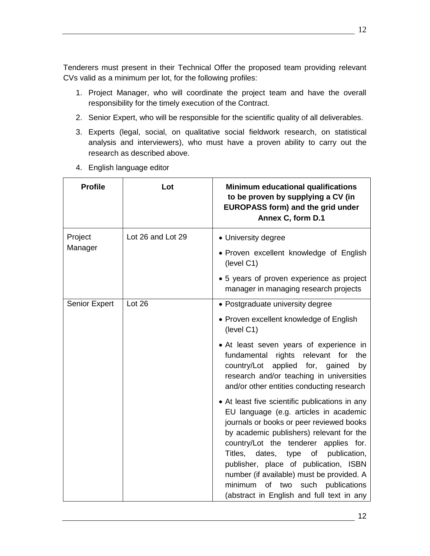Tenderers must present in their Technical Offer the proposed team providing relevant CVs valid as a minimum per lot, for the following profiles:

- 1. Project Manager, who will coordinate the project team and have the overall responsibility for the timely execution of the Contract.
- 2. Senior Expert, who will be responsible for the scientific quality of all deliverables.
- 3. Experts (legal, social, on qualitative social fieldwork research, on statistical analysis and interviewers), who must have a proven ability to carry out the research as described above.
- 4. English language editor

| <b>Profile</b>       | Lot               | <b>Minimum educational qualifications</b><br>to be proven by supplying a CV (in<br><b>EUROPASS form) and the grid under</b><br>Annex C, form D.1                                                                                                                                                                                                                                                                                                                 |
|----------------------|-------------------|------------------------------------------------------------------------------------------------------------------------------------------------------------------------------------------------------------------------------------------------------------------------------------------------------------------------------------------------------------------------------------------------------------------------------------------------------------------|
| Project<br>Manager   | Lot 26 and Lot 29 | • University degree<br>• Proven excellent knowledge of English<br>(level C1)                                                                                                                                                                                                                                                                                                                                                                                     |
|                      |                   | • 5 years of proven experience as project<br>manager in managing research projects                                                                                                                                                                                                                                                                                                                                                                               |
| <b>Senior Expert</b> | Lot 26            | • Postgraduate university degree                                                                                                                                                                                                                                                                                                                                                                                                                                 |
|                      |                   | • Proven excellent knowledge of English<br>(level C1)                                                                                                                                                                                                                                                                                                                                                                                                            |
|                      |                   | • At least seven years of experience in<br>fundamental<br>rights<br>relevant for<br>the<br>applied for, gained<br>country/Lot<br>by<br>research and/or teaching in universities<br>and/or other entities conducting research                                                                                                                                                                                                                                     |
|                      |                   | • At least five scientific publications in any<br>EU language (e.g. articles in academic<br>journals or books or peer reviewed books<br>by academic publishers) relevant for the<br>country/Lot the tenderer applies for.<br>Titles,<br>dates,<br>type<br><b>of</b><br>publication,<br>publisher, place of publication, ISBN<br>number (if available) must be provided. A<br>such publications<br>minimum<br>of two<br>(abstract in English and full text in any |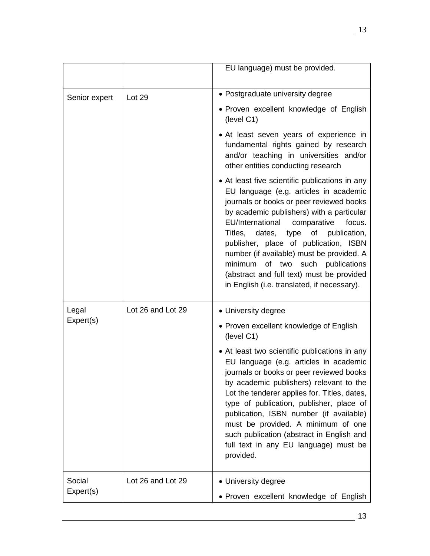|                     |                   | EU language) must be provided.                                                                                                                                                                                                                                                                                                                                                                                                                                                                    |
|---------------------|-------------------|---------------------------------------------------------------------------------------------------------------------------------------------------------------------------------------------------------------------------------------------------------------------------------------------------------------------------------------------------------------------------------------------------------------------------------------------------------------------------------------------------|
| Senior expert       | Lot 29            | • Postgraduate university degree                                                                                                                                                                                                                                                                                                                                                                                                                                                                  |
|                     |                   | • Proven excellent knowledge of English<br>(level C1)                                                                                                                                                                                                                                                                                                                                                                                                                                             |
|                     |                   | • At least seven years of experience in<br>fundamental rights gained by research<br>and/or teaching in universities and/or<br>other entities conducting research                                                                                                                                                                                                                                                                                                                                  |
|                     |                   | • At least five scientific publications in any<br>EU language (e.g. articles in academic<br>journals or books or peer reviewed books<br>by academic publishers) with a particular<br>EU/International<br>comparative<br>focus.<br>Titles, dates, type of publication,<br>publisher, place of publication, ISBN<br>number (if available) must be provided. A<br>minimum<br>of two<br>such publications<br>(abstract and full text) must be provided<br>in English (i.e. translated, if necessary). |
| Legal               | Lot 26 and Lot 29 | • University degree                                                                                                                                                                                                                                                                                                                                                                                                                                                                               |
| Expert(s)           |                   | • Proven excellent knowledge of English<br>(level C1)                                                                                                                                                                                                                                                                                                                                                                                                                                             |
|                     |                   | • At least two scientific publications in any<br>EU language (e.g. articles in academic<br>journals or books or peer reviewed books<br>by academic publishers) relevant to the<br>Lot the tenderer applies for. Titles, dates,<br>type of publication, publisher, place of<br>publication, ISBN number (if available)<br>must be provided. A minimum of one<br>such publication (abstract in English and<br>full text in any EU language) must be<br>provided.                                    |
| Social<br>Expert(s) | Lot 26 and Lot 29 | • University degree                                                                                                                                                                                                                                                                                                                                                                                                                                                                               |
|                     |                   | • Proven excellent knowledge of English                                                                                                                                                                                                                                                                                                                                                                                                                                                           |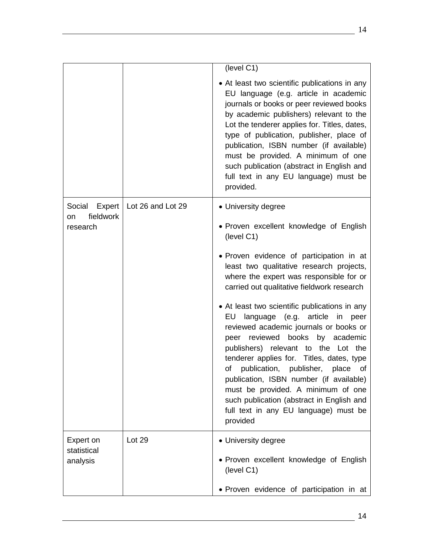|                               |                   | (level C1)                                                                                                                                                                                                                                                                                                                                                                                                                                                                                      |
|-------------------------------|-------------------|-------------------------------------------------------------------------------------------------------------------------------------------------------------------------------------------------------------------------------------------------------------------------------------------------------------------------------------------------------------------------------------------------------------------------------------------------------------------------------------------------|
|                               |                   | • At least two scientific publications in any<br>EU language (e.g. article in academic<br>journals or books or peer reviewed books<br>by academic publishers) relevant to the<br>Lot the tenderer applies for. Titles, dates,<br>type of publication, publisher, place of<br>publication, ISBN number (if available)<br>must be provided. A minimum of one<br>such publication (abstract in English and<br>full text in any EU language) must be<br>provided.                                   |
| Social<br>Expert<br>fieldwork | Lot 26 and Lot 29 | • University degree                                                                                                                                                                                                                                                                                                                                                                                                                                                                             |
| on<br>research                |                   | • Proven excellent knowledge of English<br>(level C1)                                                                                                                                                                                                                                                                                                                                                                                                                                           |
|                               |                   | • Proven evidence of participation in at<br>least two qualitative research projects,<br>where the expert was responsible for or<br>carried out qualitative fieldwork research                                                                                                                                                                                                                                                                                                                   |
|                               |                   | • At least two scientific publications in any<br>language (e.g. article<br>EU<br>in<br>peer<br>reviewed academic journals or books or<br>peer reviewed books<br>by academic<br>publishers) relevant to the Lot the<br>tenderer applies for. Titles, dates, type<br>publication, publisher, place<br>of<br>of<br>publication, ISBN number (if available)<br>must be provided. A minimum of one<br>such publication (abstract in English and<br>full text in any EU language) must be<br>provided |
| Expert on<br>statistical      | Lot 29            | • University degree                                                                                                                                                                                                                                                                                                                                                                                                                                                                             |
| analysis                      |                   | • Proven excellent knowledge of English<br>(level C1)                                                                                                                                                                                                                                                                                                                                                                                                                                           |
|                               |                   | • Proven evidence of participation in at                                                                                                                                                                                                                                                                                                                                                                                                                                                        |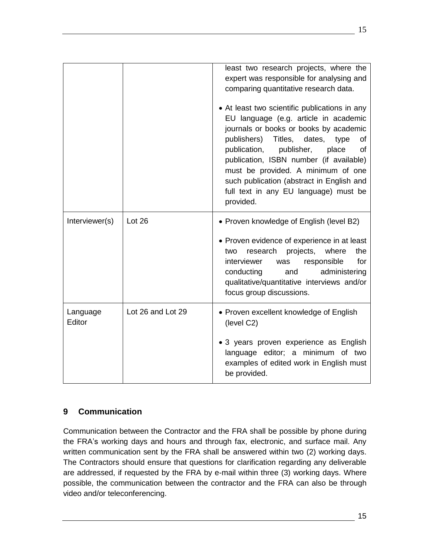|                    |                   | least two research projects, where the<br>expert was responsible for analysing and<br>comparing quantitative research data.<br>• At least two scientific publications in any<br>EU language (e.g. article in academic<br>journals or books or books by academic<br>publishers)<br>Titles,<br>dates,<br>type<br>οf<br>publication,<br>publisher,<br>place<br>0f<br>publication, ISBN number (if available)<br>must be provided. A minimum of one<br>such publication (abstract in English and<br>full text in any EU language) must be<br>provided. |
|--------------------|-------------------|----------------------------------------------------------------------------------------------------------------------------------------------------------------------------------------------------------------------------------------------------------------------------------------------------------------------------------------------------------------------------------------------------------------------------------------------------------------------------------------------------------------------------------------------------|
| Interviewer(s)     | Lot 26            | • Proven knowledge of English (level B2)<br>• Proven evidence of experience in at least<br>the<br>research<br>projects,<br>where<br>two<br>interviewer<br>for<br>responsible<br>was<br>administering<br>conducting<br>and<br>qualitative/quantitative interviews and/or<br>focus group discussions.                                                                                                                                                                                                                                                |
| Language<br>Editor | Lot 26 and Lot 29 | • Proven excellent knowledge of English<br>(level C2)<br>• 3 years proven experience as English<br>language editor; a minimum of two<br>examples of edited work in English must<br>be provided.                                                                                                                                                                                                                                                                                                                                                    |

# <span id="page-14-0"></span>**9 Communication**

Communication between the Contractor and the FRA shall be possible by phone during the FRA's working days and hours and through fax, electronic, and surface mail. Any written communication sent by the FRA shall be answered within two (2) working days. The Contractors should ensure that questions for clarification regarding any deliverable are addressed, if requested by the FRA by e-mail within three (3) working days. Where possible, the communication between the contractor and the FRA can also be through video and/or teleconferencing.